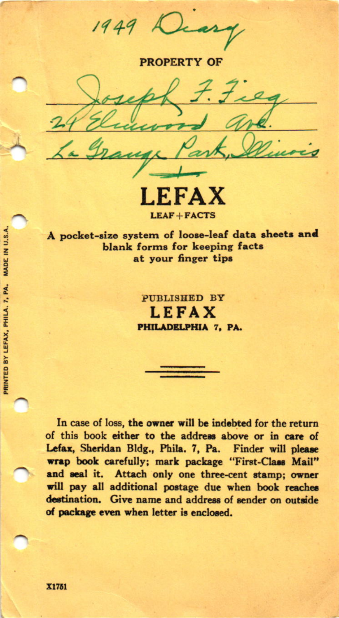$1949$ 

**PROPERTY OF** 

۰Δ **LEAF+FACTS** 

A pocket-size system of loose-leaf data sheets and blank forms for keeping facts at your finger tips

> PUBLISHED BY **LEFAX** PHILADELPHIA 7, PA.

In case of loss, the owner will be indebted for the return of this book either to the address above or in care of Lefax, Sheridan Bldg., Phila. 7, Pa. Finder will please wrap book carefully; mark package "First-Class Mail" and seal it. Attach only one three-cent stamp; owner will pay all additional postage due when book reaches destination. Give name and address of sender on outside of package even when letter is enclosed.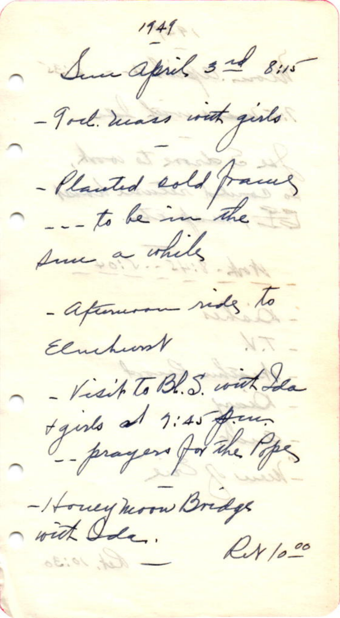$1949$ Sur april 3rd 8:15 - Tod. mass with girls - Planted sold frames - afternoon rides to Elmhurst 1.7 - Visit To Bl. S. with Ida t girls at 1:45 pm -Housey moon Bridge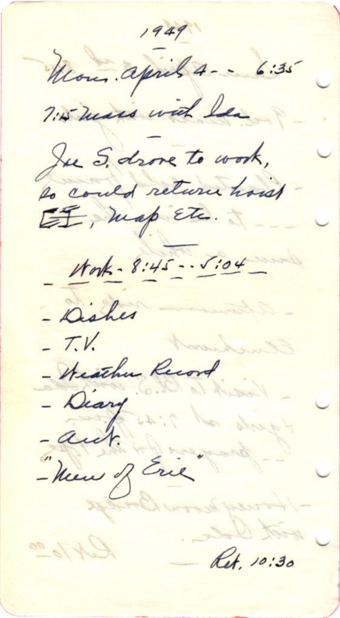$1949$ Mon. april 4 -- 6:35 7:15 mars with lea Jee S. drove to work, to could return hoist Mork - 8:45 - . 5:04 - Dishes  $-7.1$ - Heather Record - Diary<br>- auct. - New of Eric Ret. 10:30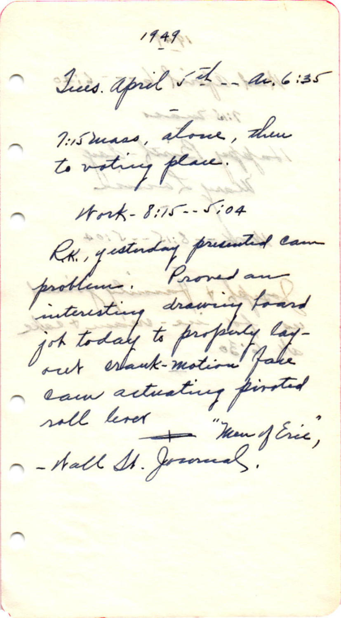$1949$ Jues april 5th - av. 6:35 Tismass, alone, then Work-8:15 -- 5:04 RK, gesterdag presented cam problem : Proved and out estant-motion fake soll lever Nou mon Henry Eric,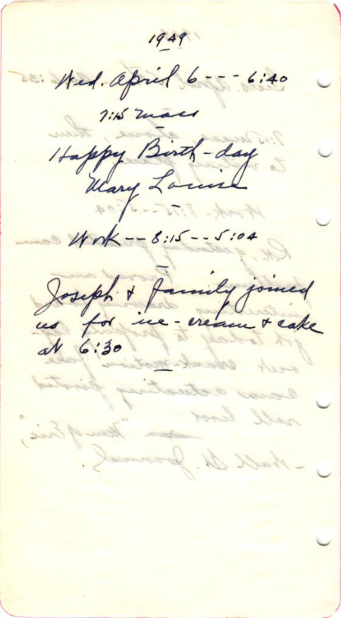$1949$ Hed. april 6 --- 6:40 1:15 macs Happy Birth-day Unk -- 8:15 -- 5:04 Joseph + family joined rall less hall Is. Jo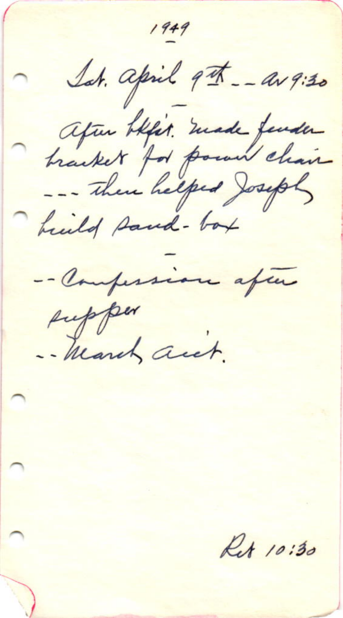$1949$ Lat. april 9th \_\_ av 9:30 after blirt. made fender heald sand-box -- Compersion after supper -- March auch. Ret 10:30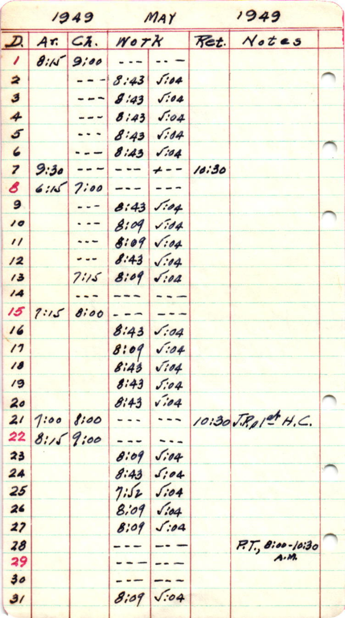| 1949                    |      |                     | MAY     |              | 1949  |                              |  |
|-------------------------|------|---------------------|---------|--------------|-------|------------------------------|--|
| 고                       | Ar.  | $G_{\lambda}$ .     | Work    |              | Ret.  | Notes                        |  |
| $\prime$                | 8:11 | 9;00                |         |              |       |                              |  |
| 2                       |      |                     | 8:43    | 5.04         |       |                              |  |
| 3                       |      | ---                 | 8:43    | $\sqrt{.04}$ |       |                              |  |
| 4                       |      | - -                 | 8:43    | 5.04         |       |                              |  |
| $\mathfrak{s}$          |      |                     | 8:43    | $\sqrt{34}$  |       |                              |  |
| 6                       |      | ---                 | 8:43    | 1.04         |       |                              |  |
| $\overline{\mathbf{z}}$ | 9:30 |                     | $- - -$ | $+ - -$      | 10:30 |                              |  |
| 8                       | 6:15 | 7:00                |         | ---          |       |                              |  |
| 9                       |      | - - -               | 8:43    | 1.04         |       |                              |  |
| 10                      |      | $\cdot$ $\cdot$ $-$ | 8:09    | $\sqrt{.}04$ |       |                              |  |
| $^{\prime\prime}$       |      | ---                 | 8:09    | $\sqrt{.04}$ |       |                              |  |
| 12                      |      | - - -               | 8:43    | $\sqrt{.04}$ |       |                              |  |
| 13                      |      | 7:15                | 8:09    | $\sqrt{.04}$ |       |                              |  |
| 14                      |      |                     |         |              |       |                              |  |
| 15                      | 7:15 | 8:00                |         |              |       |                              |  |
| 16                      |      |                     | 8:43    | 5.04         |       |                              |  |
| $\prime$                |      |                     | 8:09    | $\sqrt{.04}$ |       |                              |  |
| 18                      |      |                     | 8:43    | $\sqrt{104}$ |       |                              |  |
| 19                      |      |                     | 8:43    | 5.04         |       |                              |  |
| 20                      |      |                     | 8:43    | $\sqrt{104}$ |       |                              |  |
| 21                      | 7:00 | 8:00                |         | ---          |       | 10:30 J.R. p 1et H.C.        |  |
| 22                      | 8:15 | 9:00                |         |              |       |                              |  |
| 23                      |      |                     | 8:09    | 5.04         |       |                              |  |
| 24                      |      |                     | 8:43    | s            |       |                              |  |
| 25                      |      |                     | 7:52    | sio4         |       |                              |  |
| 26                      |      |                     | 8.09    | $\sqrt{.04}$ |       |                              |  |
| 27                      |      |                     | 8:09    | 5:04         |       |                              |  |
| 28                      |      |                     |         |              |       | $P. T. 8:00 - 10:30$<br>A.M. |  |
| 29                      |      |                     |         |              |       |                              |  |
| 30                      |      |                     |         | $\sqrt{.}04$ |       |                              |  |
| 31                      |      |                     | 8:09    |              |       |                              |  |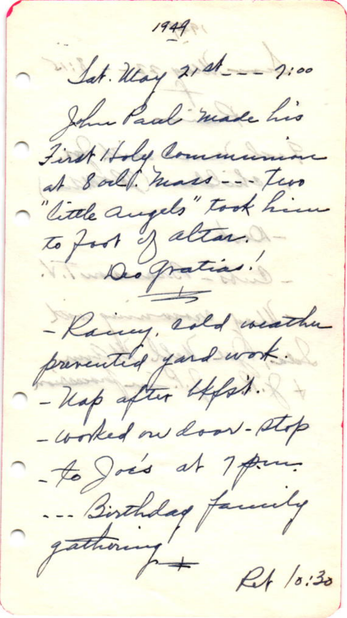$1949$ Sat. May 21st \_\_ 2:00 John Paul made his First Holy Communion at 8 och mass --- Two "little augels" took him to foot of alter. Des gratias. - Kacing, rold weather prevented ford work. - Kap after Lefst. - worked on door-stop to Jois at 7 pm. -- Birthday facedy  $R1/0.30$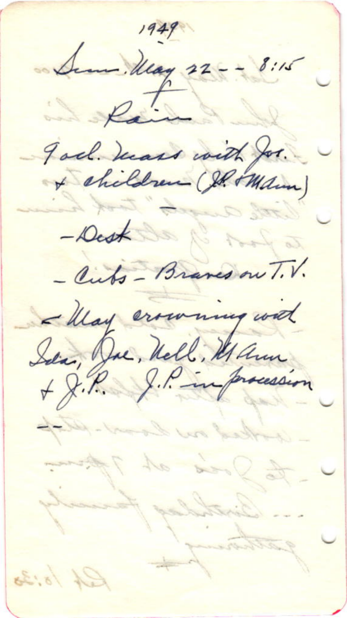$1949$ Sem. May 22 - - 8:15 De Paint god hears with for. - Dest De 1 Aug a - Cuts - Braves on T.V. - May crowning with Sien, Duc, Nell, Maun adled no land stafe to Jose at 7 from Farmerly ... Birthday gathamy  $f^2 + 18.38$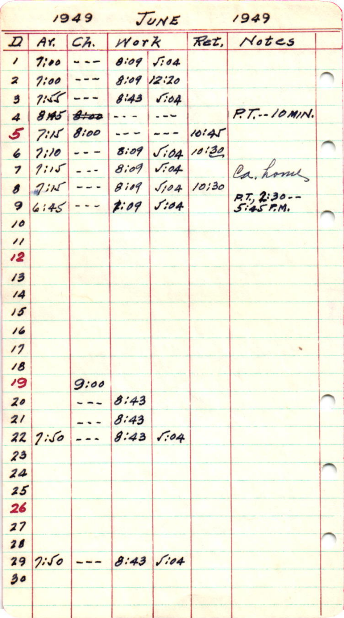|                          |            | 7943    | JUNE    |              |            | 7947             |  |  |
|--------------------------|------------|---------|---------|--------------|------------|------------------|--|--|
| $\boldsymbol{\varOmega}$ | Ar.        | Ch.     | Work    |              | Ret,       | Notes            |  |  |
| $\prime$                 | 7:00       | $- -$   | 8.09    | $\sqrt{3}04$ |            |                  |  |  |
| $\overline{\mathbf{z}}$  | 7:00       | $- - -$ | 8:09    | 12:20        |            |                  |  |  |
| 3                        | 7:55       | $- - -$ | 8:43    | 5.64         |            |                  |  |  |
| 4                        | 815        | 8.00    |         | $- - -$      |            | $P.T. - 10$ MIN. |  |  |
| 5                        | 7:15       | 8:00    | $- - -$ | ---          | 10145      |                  |  |  |
| 6                        | 7:10       |         | 8.09    | $\sqrt{.04}$ | $10^{130}$ |                  |  |  |
| 7                        | 1:15       | - --    | 8.09    | $\sqrt{.04}$ |            | Ca, home         |  |  |
| 8                        | $2i\kappa$ |         | 8i09    | 5104         | 10130      | $P. T. 2:30--$   |  |  |
| 9                        | 6:45       | ---     | 7.09    | 5:84         |            | $5:45$ P.M.      |  |  |
| 10                       |            |         |         |              |            |                  |  |  |
| $\prime\prime$           |            |         |         |              |            |                  |  |  |
| $\overline{12}$          |            |         |         |              |            |                  |  |  |
| 13                       |            |         |         |              |            |                  |  |  |
| $\overline{14}$          |            |         |         |              |            |                  |  |  |
| 15                       |            |         |         |              |            |                  |  |  |
| 16                       |            |         |         |              |            |                  |  |  |
| 17                       |            |         |         |              |            |                  |  |  |
| 18                       |            |         |         |              |            |                  |  |  |
| $\overline{19}$          |            | 9:00    |         |              |            |                  |  |  |
| 20                       |            |         | 8:43    |              |            |                  |  |  |
| 21                       |            |         | 8:43    |              |            |                  |  |  |
| 22                       | 7:50       |         | 8:43    | 1.04         |            |                  |  |  |
| 23                       |            |         |         |              |            |                  |  |  |
| 24                       |            |         |         |              |            |                  |  |  |
| 25                       |            |         |         |              |            |                  |  |  |
| 26                       |            |         |         |              |            |                  |  |  |
| 27                       |            |         |         |              |            |                  |  |  |
| 28                       |            |         |         |              |            |                  |  |  |
| 29                       | 7:50       |         | 8:43    | s: 04        |            |                  |  |  |
| 30                       |            |         |         |              |            |                  |  |  |
|                          |            |         |         |              |            |                  |  |  |
|                          |            |         |         |              |            |                  |  |  |